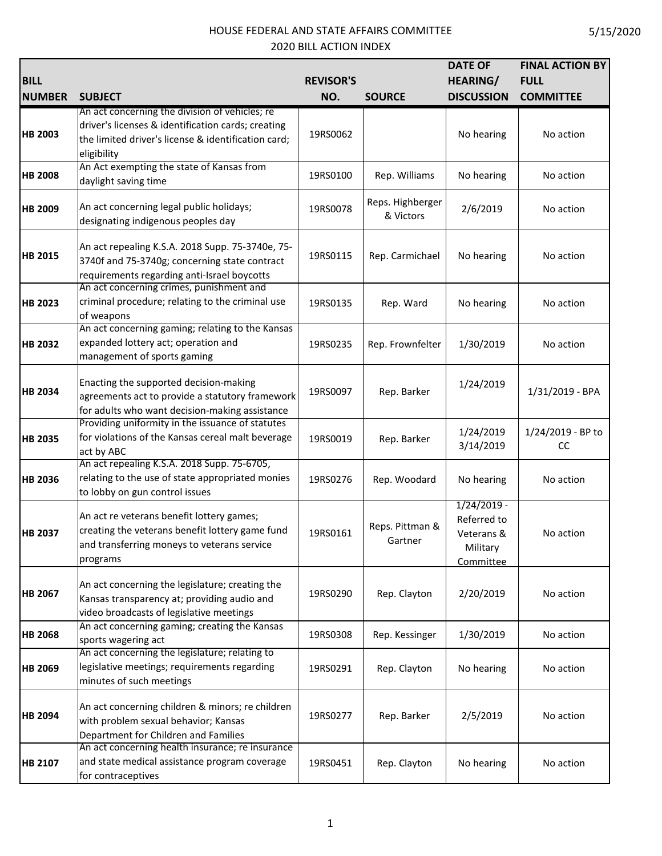| <b>BILL</b>    |                                                                                                                                                                            | <b>REVISOR'S</b> |                               | <b>DATE OF</b><br><b>HEARING/</b>                                   | <b>FINAL ACTION BY</b><br><b>FULL</b> |
|----------------|----------------------------------------------------------------------------------------------------------------------------------------------------------------------------|------------------|-------------------------------|---------------------------------------------------------------------|---------------------------------------|
| <b>NUMBER</b>  | <b>SUBJECT</b>                                                                                                                                                             | NO.              | <b>SOURCE</b>                 | <b>DISCUSSION</b>                                                   | <b>COMMITTEE</b>                      |
| <b>HB 2003</b> | An act concerning the division of vehicles; re<br>driver's licenses & identification cards; creating<br>the limited driver's license & identification card;<br>eligibility | 19RS0062         |                               | No hearing                                                          | No action                             |
| <b>HB 2008</b> | An Act exempting the state of Kansas from<br>daylight saving time                                                                                                          | 19RS0100         | Rep. Williams                 | No hearing                                                          | No action                             |
| <b>HB 2009</b> | An act concerning legal public holidays;<br>designating indigenous peoples day                                                                                             | 19RS0078         | Reps. Highberger<br>& Victors | 2/6/2019                                                            | No action                             |
| <b>HB 2015</b> | An act repealing K.S.A. 2018 Supp. 75-3740e, 75-<br>3740f and 75-3740g; concerning state contract<br>requirements regarding anti-Israel boycotts                           | 19RS0115         | Rep. Carmichael               | No hearing                                                          | No action                             |
| <b>HB 2023</b> | An act concerning crimes, punishment and<br>criminal procedure; relating to the criminal use<br>of weapons                                                                 | 19RS0135         | Rep. Ward                     | No hearing                                                          | No action                             |
| <b>HB 2032</b> | An act concerning gaming; relating to the Kansas<br>expanded lottery act; operation and<br>management of sports gaming                                                     | 19RS0235         | Rep. Frownfelter              | 1/30/2019                                                           | No action                             |
| <b>HB 2034</b> | Enacting the supported decision-making<br>agreements act to provide a statutory framework<br>for adults who want decision-making assistance                                | 19RS0097         | Rep. Barker                   | 1/24/2019                                                           | 1/31/2019 - BPA                       |
| <b>HB 2035</b> | Providing uniformity in the issuance of statutes<br>for violations of the Kansas cereal malt beverage<br>act by ABC                                                        | 19RS0019         | Rep. Barker                   | 1/24/2019<br>3/14/2019                                              | 1/24/2019 - BP to<br>cc               |
| <b>HB 2036</b> | An act repealing K.S.A. 2018 Supp. 75-6705,<br>relating to the use of state appropriated monies<br>to lobby on gun control issues                                          | 19RS0276         | Rep. Woodard                  | No hearing                                                          | No action                             |
| <b>HB 2037</b> | An act re veterans benefit lottery games;<br>creating the veterans benefit lottery game fund<br>and transferring moneys to veterans service<br>programs                    | 19RS0161         | Reps. Pittman &<br>Gartner    | $1/24/2019 -$<br>Referred to<br>Veterans &<br>Military<br>Committee | No action                             |
| <b>HB 2067</b> | An act concerning the legislature; creating the<br>Kansas transparency at; providing audio and<br>video broadcasts of legislative meetings                                 | 19RS0290         | Rep. Clayton                  | 2/20/2019                                                           | No action                             |
| <b>HB 2068</b> | An act concerning gaming; creating the Kansas<br>sports wagering act                                                                                                       | 19RS0308         | Rep. Kessinger                | 1/30/2019                                                           | No action                             |
| <b>HB 2069</b> | An act concerning the legislature; relating to<br>legislative meetings; requirements regarding<br>minutes of such meetings                                                 | 19RS0291         | Rep. Clayton                  | No hearing                                                          | No action                             |
| <b>HB 2094</b> | An act concerning children & minors; re children<br>with problem sexual behavior; Kansas<br>Department for Children and Families                                           | 19RS0277         | Rep. Barker                   | 2/5/2019                                                            | No action                             |
| <b>HB 2107</b> | An act concerning health insurance; re insurance<br>and state medical assistance program coverage<br>for contraceptives                                                    | 19RS0451         | Rep. Clayton                  | No hearing                                                          | No action                             |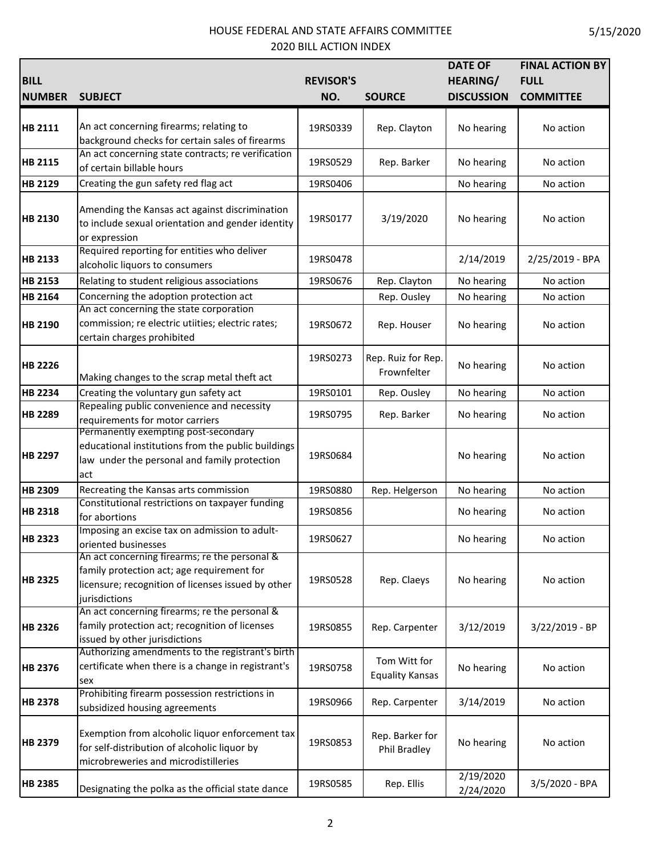| <b>BILL</b><br><b>NUMBER</b> | <b>SUBJECT</b>                                                                                                                                                     | <b>REVISOR'S</b><br>NO. | <b>SOURCE</b>                          | <b>DATE OF</b><br><b>HEARING/</b><br><b>DISCUSSION</b> | <b>FINAL ACTION BY</b><br><b>FULL</b><br><b>COMMITTEE</b> |
|------------------------------|--------------------------------------------------------------------------------------------------------------------------------------------------------------------|-------------------------|----------------------------------------|--------------------------------------------------------|-----------------------------------------------------------|
| HB 2111                      | An act concerning firearms; relating to<br>background checks for certain sales of firearms                                                                         | 19RS0339                | Rep. Clayton                           | No hearing                                             | No action                                                 |
| <b>HB 2115</b>               | An act concerning state contracts; re verification<br>of certain billable hours                                                                                    | 19RS0529                | Rep. Barker                            | No hearing                                             | No action                                                 |
| HB 2129                      | Creating the gun safety red flag act                                                                                                                               | 19RS0406                |                                        | No hearing                                             | No action                                                 |
| <b>HB 2130</b>               | Amending the Kansas act against discrimination<br>to include sexual orientation and gender identity<br>or expression                                               | 19RS0177                | 3/19/2020                              | No hearing                                             | No action                                                 |
| <b>HB 2133</b>               | Required reporting for entities who deliver<br>alcoholic liquors to consumers                                                                                      | 19RS0478                |                                        | 2/14/2019                                              | 2/25/2019 - BPA                                           |
| <b>HB 2153</b>               | Relating to student religious associations                                                                                                                         | 19RS0676                | Rep. Clayton                           | No hearing                                             | No action                                                 |
| HB 2164                      | Concerning the adoption protection act                                                                                                                             |                         | Rep. Ousley                            | No hearing                                             | No action                                                 |
| HB 2190                      | An act concerning the state corporation<br>commission; re electric utiities; electric rates;<br>certain charges prohibited                                         | 19RS0672                | Rep. Houser                            | No hearing                                             | No action                                                 |
| <b>HB 2226</b>               | Making changes to the scrap metal theft act                                                                                                                        | 19RS0273                | Rep. Ruiz for Rep.<br>Frownfelter      | No hearing                                             | No action                                                 |
| <b>HB 2234</b>               | Creating the voluntary gun safety act                                                                                                                              | 19RS0101                | Rep. Ousley                            | No hearing                                             | No action                                                 |
| <b>HB 2289</b>               | Repealing public convenience and necessity<br>requirements for motor carriers                                                                                      | 19RS0795                | Rep. Barker                            | No hearing                                             | No action                                                 |
| <b>HB 2297</b>               | Permanently exempting post-secondary<br>educational institutions from the public buildings<br>law under the personal and family protection<br>act                  | 19RS0684                |                                        | No hearing                                             | No action                                                 |
| <b>HB 2309</b>               | Recreating the Kansas arts commission                                                                                                                              | 19RS0880                | Rep. Helgerson                         | No hearing                                             | No action                                                 |
| <b>HB 2318</b>               | Constitutional restrictions on taxpayer funding<br>for abortions                                                                                                   | 19RS0856                |                                        | No hearing                                             | No action                                                 |
| <b>HB 2323</b>               | Imposing an excise tax on admission to adult-<br>oriented businesses                                                                                               | 19RS0627                |                                        | No hearing                                             | No action                                                 |
| <b>HB 2325</b>               | An act concerning firearms; re the personal &<br>family protection act; age requirement for<br>licensure; recognition of licenses issued by other<br>jurisdictions | 19RS0528                | Rep. Claeys                            | No hearing                                             | No action                                                 |
| <b>HB 2326</b>               | An act concerning firearms; re the personal &<br>family protection act; recognition of licenses<br>issued by other jurisdictions                                   | 19RS0855                | Rep. Carpenter                         | 3/12/2019                                              | 3/22/2019 - BP                                            |
| <b>HB 2376</b>               | Authorizing amendments to the registrant's birth<br>certificate when there is a change in registrant's<br>sex                                                      | 19RS0758                | Tom Witt for<br><b>Equality Kansas</b> | No hearing                                             | No action                                                 |
| <b>HB 2378</b>               | Prohibiting firearm possession restrictions in<br>subsidized housing agreements                                                                                    | 19RS0966                | Rep. Carpenter                         | 3/14/2019                                              | No action                                                 |
| <b>HB 2379</b>               | Exemption from alcoholic liquor enforcement tax<br>for self-distribution of alcoholic liquor by<br>microbreweries and microdistilleries                            | 19RS0853                | Rep. Barker for<br>Phil Bradley        | No hearing                                             | No action                                                 |
| <b>HB 2385</b>               | Designating the polka as the official state dance                                                                                                                  | 19RS0585                | Rep. Ellis                             | 2/19/2020<br>2/24/2020                                 | 3/5/2020 - BPA                                            |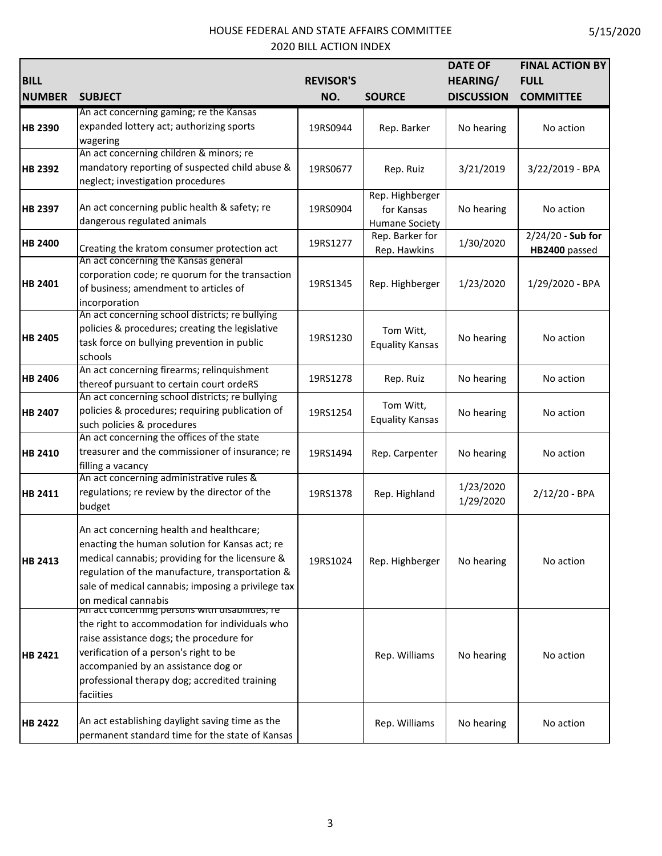| <b>BILL</b>    |                                                                          | <b>REVISOR'S</b> |                        | <b>DATE OF</b><br><b>HEARING/</b> | <b>FINAL ACTION BY</b><br><b>FULL</b> |
|----------------|--------------------------------------------------------------------------|------------------|------------------------|-----------------------------------|---------------------------------------|
| <b>NUMBER</b>  | <b>SUBJECT</b>                                                           | NO.              | <b>SOURCE</b>          | <b>DISCUSSION</b>                 | <b>COMMITTEE</b>                      |
|                | An act concerning gaming; re the Kansas                                  |                  |                        |                                   |                                       |
| <b>HB 2390</b> | expanded lottery act; authorizing sports                                 | 19RS0944         | Rep. Barker            | No hearing                        | No action                             |
|                | wagering                                                                 |                  |                        |                                   |                                       |
|                | An act concerning children & minors; re                                  |                  |                        |                                   |                                       |
| <b>HB 2392</b> | mandatory reporting of suspected child abuse &                           | 19RS0677         | Rep. Ruiz              | 3/21/2019                         | 3/22/2019 - BPA                       |
|                | neglect; investigation procedures                                        |                  |                        |                                   |                                       |
|                |                                                                          |                  | Rep. Highberger        |                                   |                                       |
| <b>HB 2397</b> | An act concerning public health & safety; re                             | 19RS0904         | for Kansas             | No hearing                        | No action                             |
|                | dangerous regulated animals                                              |                  | Humane Society         |                                   |                                       |
| <b>HB 2400</b> |                                                                          | 19RS1277         | Rep. Barker for        | 1/30/2020                         | 2/24/20 - Sub for                     |
|                | Creating the kratom consumer protection act                              |                  | Rep. Hawkins           |                                   | HB2400 passed                         |
|                | An act concerning the Kansas general                                     |                  |                        |                                   |                                       |
| HB 2401        | corporation code; re quorum for the transaction                          | 19RS1345         | Rep. Highberger        | 1/23/2020                         | 1/29/2020 - BPA                       |
|                | of business; amendment to articles of                                    |                  |                        |                                   |                                       |
|                | incorporation                                                            |                  |                        |                                   |                                       |
|                | An act concerning school districts; re bullying                          |                  |                        |                                   |                                       |
| <b>HB 2405</b> | policies & procedures; creating the legislative                          | 19RS1230         | Tom Witt,              | No hearing                        | No action                             |
|                | task force on bullying prevention in public                              |                  | <b>Equality Kansas</b> |                                   |                                       |
|                | schools                                                                  |                  |                        |                                   |                                       |
| <b>HB 2406</b> | An act concerning firearms; relinquishment                               | 19RS1278         | Rep. Ruiz              | No hearing                        | No action                             |
|                | thereof pursuant to certain court ordeRS                                 |                  |                        |                                   |                                       |
|                | An act concerning school districts; re bullying                          |                  | Tom Witt,              |                                   |                                       |
| <b>HB 2407</b> | policies & procedures; requiring publication of                          | 19RS1254         | <b>Equality Kansas</b> | No hearing                        | No action                             |
|                | such policies & procedures<br>An act concerning the offices of the state |                  |                        |                                   |                                       |
|                | treasurer and the commissioner of insurance; re                          |                  |                        |                                   |                                       |
| <b>HB 2410</b> |                                                                          | 19RS1494         | Rep. Carpenter         | No hearing                        | No action                             |
|                | filling a vacancy<br>An act concerning administrative rules &            |                  |                        |                                   |                                       |
|                | regulations; re review by the director of the                            |                  |                        | 1/23/2020                         |                                       |
| <b>HB 2411</b> | budget                                                                   | 19RS1378         | Rep. Highland          | 1/29/2020                         | $2/12/20 - BPA$                       |
|                |                                                                          |                  |                        |                                   |                                       |
|                | An act concerning health and healthcare;                                 |                  |                        |                                   |                                       |
|                | enacting the human solution for Kansas act; re                           |                  |                        | No hearing                        | No action                             |
| <b>HB 2413</b> | medical cannabis; providing for the licensure &                          | 19RS1024         | Rep. Highberger        |                                   |                                       |
|                | regulation of the manufacture, transportation &                          |                  |                        |                                   |                                       |
|                | sale of medical cannabis; imposing a privilege tax                       |                  |                        |                                   |                                       |
|                | on medical cannabis                                                      |                  |                        |                                   |                                       |
|                | An act concerning persons with disabilities; re-                         |                  |                        |                                   |                                       |
|                | the right to accommodation for individuals who                           |                  |                        |                                   |                                       |
|                | raise assistance dogs; the procedure for                                 |                  |                        | No hearing                        |                                       |
| <b>HB 2421</b> | verification of a person's right to be                                   |                  | Rep. Williams          |                                   | No action                             |
|                | accompanied by an assistance dog or                                      |                  |                        |                                   |                                       |
|                | professional therapy dog; accredited training                            |                  |                        |                                   |                                       |
|                | faciities                                                                |                  |                        |                                   |                                       |
|                |                                                                          |                  |                        |                                   |                                       |
| <b>HB 2422</b> | An act establishing daylight saving time as the                          |                  | Rep. Williams          | No hearing                        | No action                             |
|                | permanent standard time for the state of Kansas                          |                  |                        |                                   |                                       |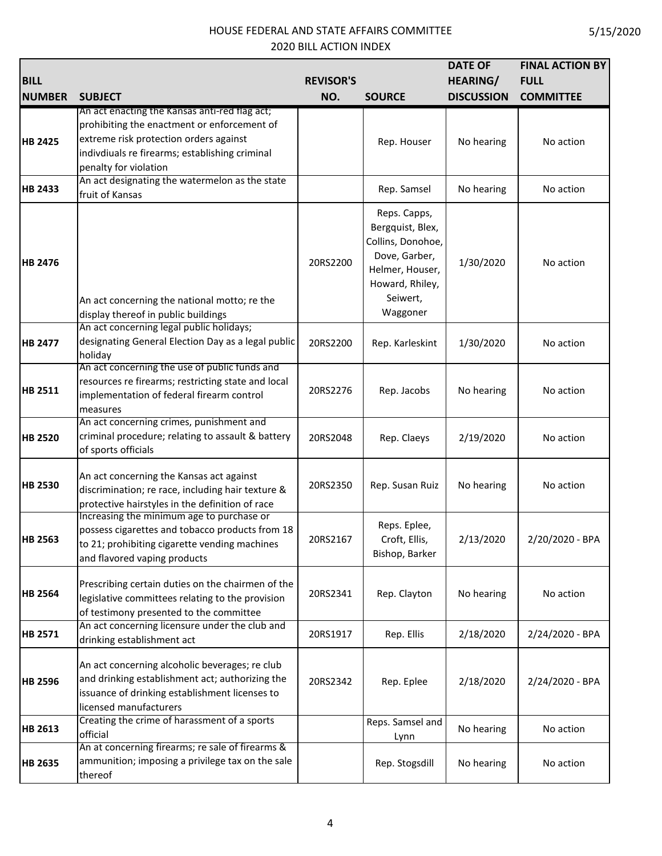|                |                                                                                                                                                                                                                   |                  |                                                                                                                                      | <b>DATE OF</b>    | <b>FINAL ACTION BY</b> |
|----------------|-------------------------------------------------------------------------------------------------------------------------------------------------------------------------------------------------------------------|------------------|--------------------------------------------------------------------------------------------------------------------------------------|-------------------|------------------------|
| <b>BILL</b>    |                                                                                                                                                                                                                   | <b>REVISOR'S</b> |                                                                                                                                      | <b>HEARING/</b>   | <b>FULL</b>            |
| <b>NUMBER</b>  | <b>SUBJECT</b>                                                                                                                                                                                                    | NO.              | <b>SOURCE</b>                                                                                                                        | <b>DISCUSSION</b> | <b>COMMITTEE</b>       |
| <b>HB 2425</b> | An act enacting the Kansas anti-red flag act;<br>prohibiting the enactment or enforcement of<br>extreme risk protection orders against<br>indivdiuals re firearms; establishing criminal<br>penalty for violation |                  | Rep. Houser                                                                                                                          | No hearing        | No action              |
| <b>HB 2433</b> | An act designating the watermelon as the state<br>fruit of Kansas                                                                                                                                                 |                  | Rep. Samsel                                                                                                                          | No hearing        | No action              |
| <b>HB 2476</b> | An act concerning the national motto; re the<br>display thereof in public buildings                                                                                                                               | 20RS2200         | Reps. Capps,<br>Bergquist, Blex,<br>Collins, Donohoe,<br>Dove, Garber,<br>Helmer, Houser,<br>Howard, Rhiley,<br>Seiwert,<br>Waggoner | 1/30/2020         | No action              |
| <b>HB 2477</b> | An act concerning legal public holidays;<br>designating General Election Day as a legal public<br>holiday                                                                                                         | 20RS2200         | Rep. Karleskint                                                                                                                      | 1/30/2020         | No action              |
| <b>HB 2511</b> | An act concerning the use of public funds and<br>resources re firearms; restricting state and local<br>implementation of federal firearm control<br>measures                                                      | 20RS2276         | Rep. Jacobs                                                                                                                          | No hearing        | No action              |
| <b>HB 2520</b> | An act concerning crimes, punishment and<br>criminal procedure; relating to assault & battery<br>of sports officials                                                                                              | 20RS2048         | Rep. Claeys                                                                                                                          | 2/19/2020         | No action              |
| <b>HB 2530</b> | An act concerning the Kansas act against<br>discrimination; re race, including hair texture &<br>protective hairstyles in the definition of race                                                                  | 20RS2350         | Rep. Susan Ruiz                                                                                                                      | No hearing        | No action              |
| <b>HB 2563</b> | Increasing the minimum age to purchase or<br>possess cigarettes and tobacco products from 18<br>to 21; prohibiting cigarette vending machines<br>and flavored vaping products                                     | 20RS2167         | Reps. Eplee,<br>Croft, Ellis,<br>Bishop, Barker                                                                                      | 2/13/2020         | 2/20/2020 - BPA        |
| <b>HB 2564</b> | Prescribing certain duties on the chairmen of the<br>legislative committees relating to the provision<br>of testimony presented to the committee                                                                  | 20RS2341         | Rep. Clayton                                                                                                                         | No hearing        | No action              |
| <b>HB 2571</b> | An act concerning licensure under the club and<br>drinking establishment act                                                                                                                                      | 20RS1917         | Rep. Ellis                                                                                                                           | 2/18/2020         | 2/24/2020 - BPA        |
| <b>HB 2596</b> | An act concerning alcoholic beverages; re club<br>and drinking establishment act; authorizing the<br>issuance of drinking establishment licenses to<br>licensed manufacturers                                     | 20RS2342         | Rep. Eplee                                                                                                                           | 2/18/2020         | 2/24/2020 - BPA        |
| <b>HB 2613</b> | Creating the crime of harassment of a sports<br>official                                                                                                                                                          |                  | Reps. Samsel and<br>Lynn                                                                                                             | No hearing        | No action              |
| <b>HB 2635</b> | An at concerning firearms; re sale of firearms &<br>ammunition; imposing a privilege tax on the sale<br>thereof                                                                                                   |                  | Rep. Stogsdill                                                                                                                       | No hearing        | No action              |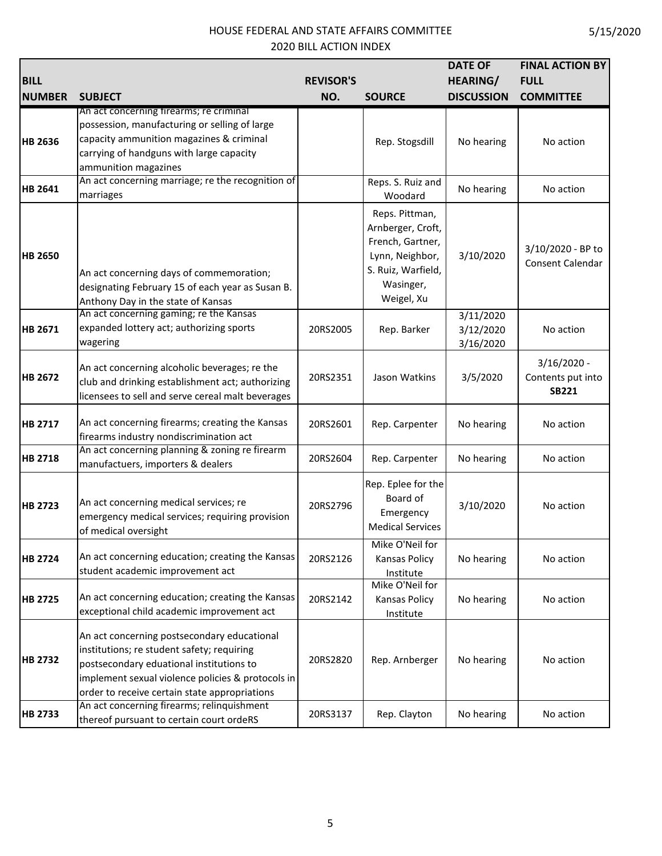| <b>BILL</b><br><b>NUMBER</b> | <b>SUBJECT</b>                                                                                                                                                                                                                              | <b>REVISOR'S</b><br>NO. | <b>SOURCE</b>                                                                                                               | <b>DATE OF</b><br><b>HEARING/</b><br><b>DISCUSSION</b> | <b>FINAL ACTION BY</b><br><b>FULL</b><br><b>COMMITTEE</b> |
|------------------------------|---------------------------------------------------------------------------------------------------------------------------------------------------------------------------------------------------------------------------------------------|-------------------------|-----------------------------------------------------------------------------------------------------------------------------|--------------------------------------------------------|-----------------------------------------------------------|
| <b>HB 2636</b>               | An act concerning firearms; re criminal<br>possession, manufacturing or selling of large<br>capacity ammunition magazines & criminal<br>carrying of handguns with large capacity<br>ammunition magazines                                    |                         | Rep. Stogsdill                                                                                                              | No hearing                                             | No action                                                 |
| <b>HB 2641</b>               | An act concerning marriage; re the recognition of<br>marriages                                                                                                                                                                              |                         | Reps. S. Ruiz and<br>Woodard                                                                                                | No hearing                                             | No action                                                 |
| <b>HB 2650</b>               | An act concerning days of commemoration;<br>designating February 15 of each year as Susan B.<br>Anthony Day in the state of Kansas                                                                                                          |                         | Reps. Pittman,<br>Arnberger, Croft,<br>French, Gartner,<br>Lynn, Neighbor,<br>S. Ruiz, Warfield,<br>Wasinger,<br>Weigel, Xu | 3/10/2020                                              | 3/10/2020 - BP to<br>Consent Calendar                     |
| HB 2671                      | An act concerning gaming; re the Kansas<br>expanded lottery act; authorizing sports<br>wagering                                                                                                                                             | 20RS2005                | Rep. Barker                                                                                                                 | 3/11/2020<br>3/12/2020<br>3/16/2020                    | No action                                                 |
| <b>HB 2672</b>               | An act concerning alcoholic beverages; re the<br>club and drinking establishment act; authorizing<br>licensees to sell and serve cereal malt beverages                                                                                      | 20RS2351                | Jason Watkins                                                                                                               | 3/5/2020                                               | $3/16/2020 -$<br>Contents put into<br><b>SB221</b>        |
| <b>HB 2717</b>               | An act concerning firearms; creating the Kansas<br>firearms industry nondiscrimination act                                                                                                                                                  | 20RS2601                | Rep. Carpenter                                                                                                              | No hearing                                             | No action                                                 |
| <b>HB 2718</b>               | An act concerning planning & zoning re firearm<br>manufactuers, importers & dealers                                                                                                                                                         | 20RS2604                | Rep. Carpenter                                                                                                              | No hearing                                             | No action                                                 |
| <b>HB 2723</b>               | An act concerning medical services; re<br>emergency medical services; requiring provision<br>of medical oversight                                                                                                                           | 20RS2796                | Rep. Eplee for the<br>Board of<br>Emergency<br><b>Medical Services</b>                                                      | 3/10/2020                                              | No action                                                 |
| <b>HB 2724</b>               | An act concerning education; creating the Kansas<br>student academic improvement act                                                                                                                                                        | 20RS2126                | Mike O'Neil for<br>Kansas Policy<br>Institute                                                                               | No hearing                                             | No action                                                 |
| <b>HB 2725</b>               | An act concerning education; creating the Kansas<br>exceptional child academic improvement act                                                                                                                                              | 20RS2142                | Mike O'Neil for<br>Kansas Policy<br>Institute                                                                               | No hearing                                             | No action                                                 |
| <b>HB 2732</b>               | An act concerning postsecondary educational<br>institutions; re student safety; requiring<br>postsecondary eduational institutions to<br>implement sexual violence policies & protocols in<br>order to receive certain state appropriations | 20RS2820                | Rep. Arnberger                                                                                                              | No hearing                                             | No action                                                 |
| <b>HB 2733</b>               | An act concerning firearms; relinquishment<br>thereof pursuant to certain court ordeRS                                                                                                                                                      | 20RS3137                | Rep. Clayton                                                                                                                | No hearing                                             | No action                                                 |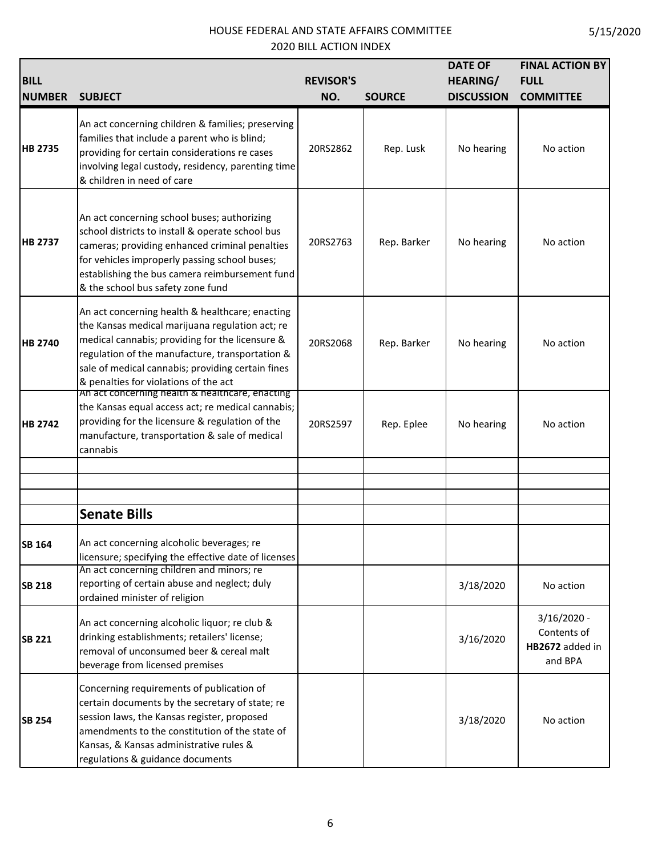| <b>BILL</b><br><b>NUMBER</b> | <b>SUBJECT</b>                                                                                                                                                                                                                                                                                         | <b>REVISOR'S</b><br>NO. | <b>SOURCE</b> | <b>DATE OF</b><br><b>HEARING/</b><br><b>DISCUSSION</b> | <b>FINAL ACTION BY</b><br><b>FULL</b><br><b>COMMITTEE</b>  |
|------------------------------|--------------------------------------------------------------------------------------------------------------------------------------------------------------------------------------------------------------------------------------------------------------------------------------------------------|-------------------------|---------------|--------------------------------------------------------|------------------------------------------------------------|
| <b>HB 2735</b>               | An act concerning children & families; preserving<br>families that include a parent who is blind;<br>providing for certain considerations re cases<br>involving legal custody, residency, parenting time<br>& children in need of care                                                                 | 20RS2862                | Rep. Lusk     | No hearing                                             | No action                                                  |
| <b>HB 2737</b>               | An act concerning school buses; authorizing<br>school districts to install & operate school bus<br>cameras; providing enhanced criminal penalties<br>for vehicles improperly passing school buses;<br>establishing the bus camera reimbursement fund<br>& the school bus safety zone fund              | 20RS2763                | Rep. Barker   | No hearing                                             | No action                                                  |
| <b>HB 2740</b>               | An act concerning health & healthcare; enacting<br>the Kansas medical marijuana regulation act; re<br>medical cannabis; providing for the licensure &<br>regulation of the manufacture, transportation &<br>sale of medical cannabis; providing certain fines<br>& penalties for violations of the act | 20RS2068                | Rep. Barker   | No hearing                                             | No action                                                  |
| <b>HB 2742</b>               | An act concerning health & healthcare, enacting<br>the Kansas equal access act; re medical cannabis;<br>providing for the licensure & regulation of the<br>manufacture, transportation & sale of medical<br>cannabis                                                                                   | 20RS2597                | Rep. Eplee    | No hearing                                             | No action                                                  |
|                              |                                                                                                                                                                                                                                                                                                        |                         |               |                                                        |                                                            |
|                              | <b>Senate Bills</b>                                                                                                                                                                                                                                                                                    |                         |               |                                                        |                                                            |
| SB 164                       | An act concerning alcoholic beverages; re<br>licensure; specifying the effective date of licenses                                                                                                                                                                                                      |                         |               |                                                        |                                                            |
| <b>SB 218</b>                | An act concerning children and minors; re<br>reporting of certain abuse and neglect; duly<br>ordained minister of religion                                                                                                                                                                             |                         |               | 3/18/2020                                              | No action                                                  |
| <b>SB 221</b>                | An act concerning alcoholic liquor; re club &<br>drinking establishments; retailers' license;<br>removal of unconsumed beer & cereal malt<br>beverage from licensed premises                                                                                                                           |                         |               | 3/16/2020                                              | $3/16/2020 -$<br>Contents of<br>HB2672 added in<br>and BPA |
| <b>SB 254</b>                | Concerning requirements of publication of<br>certain documents by the secretary of state; re<br>session laws, the Kansas register, proposed<br>amendments to the constitution of the state of<br>Kansas, & Kansas administrative rules &<br>regulations & guidance documents                           |                         |               | 3/18/2020                                              | No action                                                  |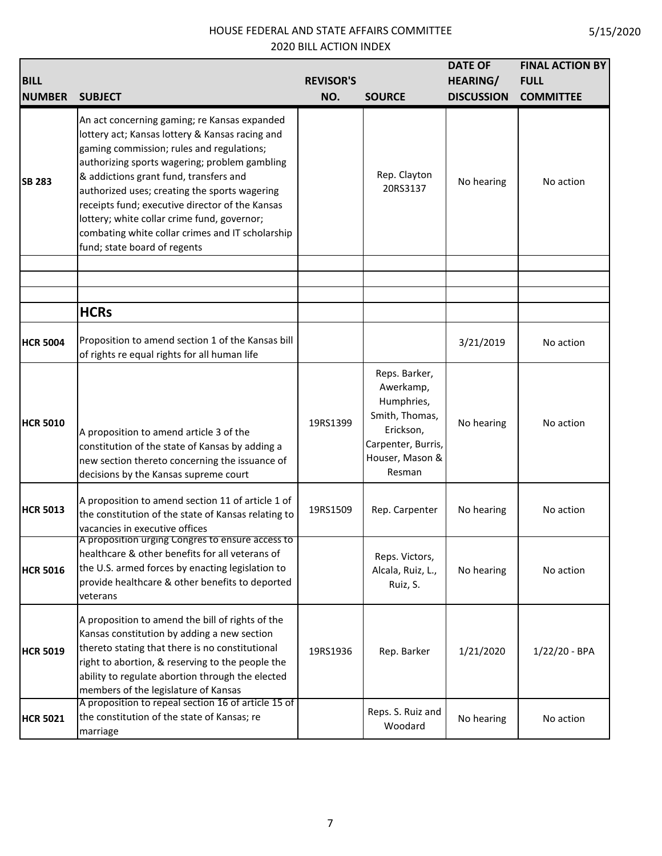| <b>BILL</b><br><b>NUMBER</b> | <b>SUBJECT</b>                                                                                                                                                                                                                                                                                                                                                                                                                                                                 | <b>REVISOR'S</b><br>NO. | <b>SOURCE</b>                                                                                                              | <b>DATE OF</b><br><b>HEARING/</b><br><b>DISCUSSION</b> | <b>FINAL ACTION BY</b><br><b>FULL</b><br><b>COMMITTEE</b> |
|------------------------------|--------------------------------------------------------------------------------------------------------------------------------------------------------------------------------------------------------------------------------------------------------------------------------------------------------------------------------------------------------------------------------------------------------------------------------------------------------------------------------|-------------------------|----------------------------------------------------------------------------------------------------------------------------|--------------------------------------------------------|-----------------------------------------------------------|
| <b>SB 283</b>                | An act concerning gaming; re Kansas expanded<br>lottery act; Kansas lottery & Kansas racing and<br>gaming commission; rules and regulations;<br>authorizing sports wagering; problem gambling<br>& addictions grant fund, transfers and<br>authorized uses; creating the sports wagering<br>receipts fund; executive director of the Kansas<br>lottery; white collar crime fund, governor;<br>combating white collar crimes and IT scholarship<br>fund; state board of regents |                         | Rep. Clayton<br>20RS3137                                                                                                   | No hearing                                             | No action                                                 |
|                              |                                                                                                                                                                                                                                                                                                                                                                                                                                                                                |                         |                                                                                                                            |                                                        |                                                           |
|                              | <b>HCRs</b>                                                                                                                                                                                                                                                                                                                                                                                                                                                                    |                         |                                                                                                                            |                                                        |                                                           |
| <b>HCR 5004</b>              | Proposition to amend section 1 of the Kansas bill<br>of rights re equal rights for all human life                                                                                                                                                                                                                                                                                                                                                                              |                         |                                                                                                                            | 3/21/2019                                              | No action                                                 |
| <b>HCR 5010</b>              | A proposition to amend article 3 of the<br>constitution of the state of Kansas by adding a<br>new section thereto concerning the issuance of<br>decisions by the Kansas supreme court                                                                                                                                                                                                                                                                                          | 19RS1399                | Reps. Barker,<br>Awerkamp,<br>Humphries,<br>Smith, Thomas,<br>Erickson,<br>Carpenter, Burris,<br>Houser, Mason &<br>Resman | No hearing                                             | No action                                                 |
| <b>HCR 5013</b>              | A proposition to amend section 11 of article 1 of<br>the constitution of the state of Kansas relating to<br>vacancies in executive offices                                                                                                                                                                                                                                                                                                                                     | 19RS1509                | Rep. Carpenter                                                                                                             | No hearing                                             | No action                                                 |
| <b>HCR 5016</b>              | A proposition urging Congres to ensure access to<br>healthcare & other benefits for all veterans of<br>the U.S. armed forces by enacting legislation to<br>provide healthcare & other benefits to deported<br>veterans                                                                                                                                                                                                                                                         |                         | Reps. Victors,<br>Alcala, Ruiz, L.,<br>Ruiz, S.                                                                            | No hearing                                             | No action                                                 |
| <b>HCR 5019</b>              | A proposition to amend the bill of rights of the<br>Kansas constitution by adding a new section<br>thereto stating that there is no constitutional<br>right to abortion, & reserving to the people the<br>ability to regulate abortion through the elected<br>members of the legislature of Kansas                                                                                                                                                                             | 19RS1936                | Rep. Barker                                                                                                                | 1/21/2020                                              | $1/22/20 - BPA$                                           |
| <b>HCR 5021</b>              | A proposition to repeal section 16 of article 15 of<br>the constitution of the state of Kansas; re<br>marriage                                                                                                                                                                                                                                                                                                                                                                 |                         | Reps. S. Ruiz and<br>Woodard                                                                                               | No hearing                                             | No action                                                 |